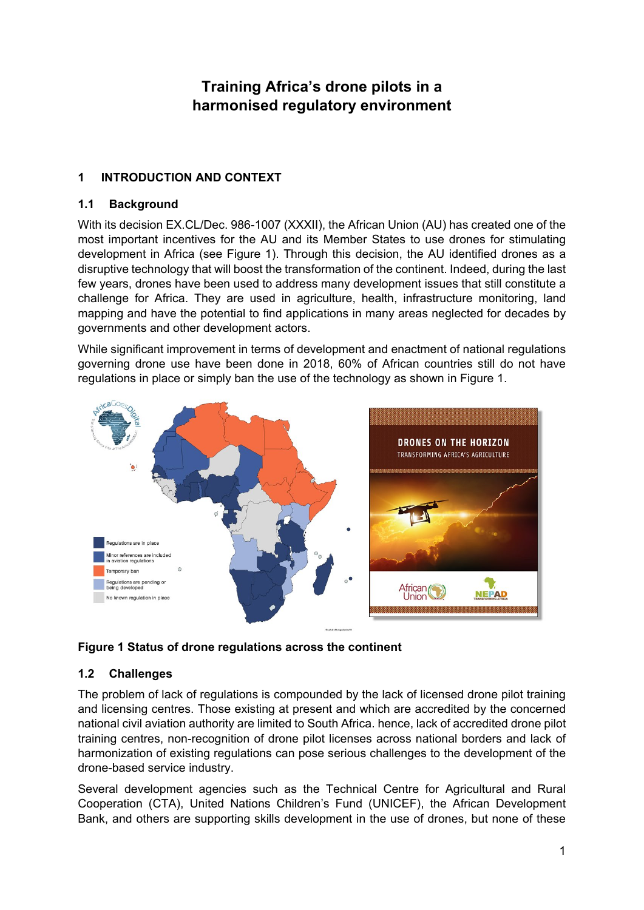# **Training Africa's drone pilots in a harmonised regulatory environment**

# **1 INTRODUCTION AND CONTEXT**

### **1.1 Background**

With its decision EX.CL/Dec. 986-1007 (XXXII), the African Union (AU) has created one of the most important incentives for the AU and its Member States to use drones for stimulating development in Africa (see [Figure 1\)](#page-0-0). Through this decision, the AU identified drones as a disruptive technology that will boost the transformation of the continent. Indeed, during the last few years, drones have been used to address many development issues that still constitute a challenge for Africa. They are used in agriculture, health, infrastructure monitoring, land mapping and have the potential to find applications in many areas neglected for decades by governments and other development actors.

While significant improvement in terms of development and enactment of national regulations governing drone use have been done in 2018, 60% of African countries still do not have regulations in place or simply ban the use of the technology as shown in [Figure 1.](#page-0-0)



<span id="page-0-0"></span>**Figure 1 Status of drone regulations across the continent**

# <span id="page-0-1"></span>**1.2 Challenges**

The problem of lack of regulations is compounded by the lack of licensed drone pilot training and licensing centres. Those existing at present and which are accredited by the concerned national civil aviation authority are limited to South Africa. hence, lack of accredited drone pilot training centres, non-recognition of drone pilot licenses across national borders and lack of harmonization of existing regulations can pose serious challenges to the development of the drone-based service industry.

Several development agencies such as the Technical Centre for Agricultural and Rural Cooperation (CTA), United Nations Children's Fund (UNICEF), the African Development Bank, and others are supporting skills development in the use of drones, but none of these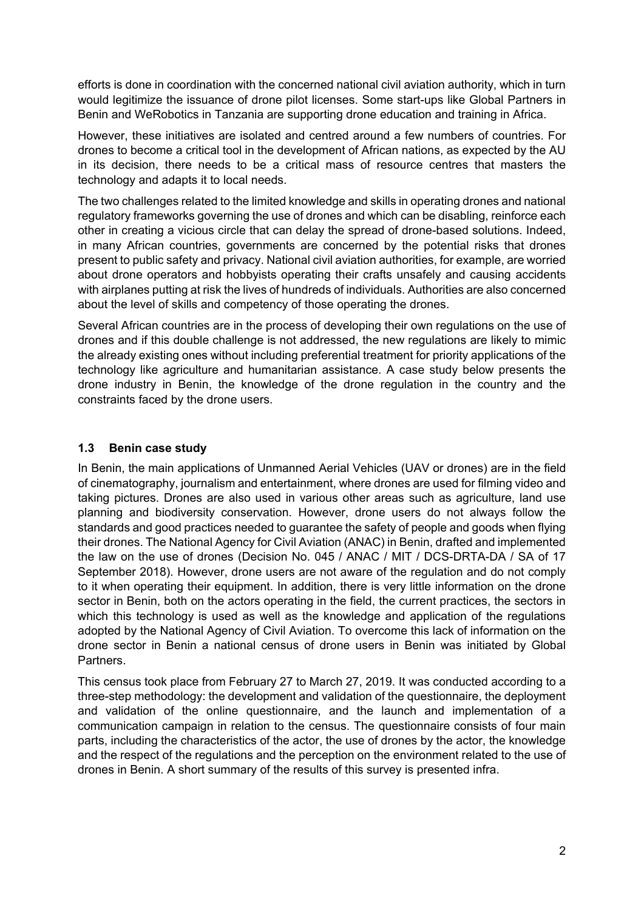efforts is done in coordination with the concerned national civil aviation authority, which in turn would legitimize the issuance of drone pilot licenses. Some start-ups like Global Partners in Benin and WeRobotics in Tanzania are supporting drone education and training in Africa.

However, these initiatives are isolated and centred around a few numbers of countries. For drones to become a critical tool in the development of African nations, as expected by the AU in its decision, there needs to be a critical mass of resource centres that masters the technology and adapts it to local needs.

The two challenges related to the limited knowledge and skills in operating drones and national regulatory frameworks governing the use of drones and which can be disabling, reinforce each other in creating a vicious circle that can delay the spread of drone-based solutions. Indeed, in many African countries, governments are concerned by the potential risks that drones present to public safety and privacy. National civil aviation authorities, for example, are worried about drone operators and hobbyists operating their crafts unsafely and causing accidents with airplanes putting at risk the lives of hundreds of individuals. Authorities are also concerned about the level of skills and competency of those operating the drones.

Several African countries are in the process of developing their own regulations on the use of drones and if this double challenge is not addressed, the new regulations are likely to mimic the already existing ones without including preferential treatment for priority applications of the technology like agriculture and humanitarian assistance. A case study below presents the drone industry in Benin, the knowledge of the drone regulation in the country and the constraints faced by the drone users.

### **1.3 Benin case study**

In Benin, the main applications of Unmanned Aerial Vehicles (UAV or drones) are in the field of cinematography, journalism and entertainment, where drones are used for filming video and taking pictures. Drones are also used in various other areas such as agriculture, land use planning and biodiversity conservation. However, drone users do not always follow the standards and good practices needed to guarantee the safety of people and goods when flying their drones. The National Agency for Civil Aviation (ANAC) in Benin, drafted and implemented the law on the use of drones (Decision No. 045 / ANAC / MIT / DCS-DRTA-DA / SA of 17 September 2018). However, drone users are not aware of the regulation and do not comply to it when operating their equipment. In addition, there is very little information on the drone sector in Benin, both on the actors operating in the field, the current practices, the sectors in which this technology is used as well as the knowledge and application of the regulations adopted by the National Agency of Civil Aviation. To overcome this lack of information on the drone sector in Benin a national census of drone users in Benin was initiated by Global **Partners** 

This census took place from February 27 to March 27, 2019. It was conducted according to a three-step methodology: the development and validation of the questionnaire, the deployment and validation of the online questionnaire, and the launch and implementation of a communication campaign in relation to the census. The questionnaire consists of four main parts, including the characteristics of the actor, the use of drones by the actor, the knowledge and the respect of the regulations and the perception on the environment related to the use of drones in Benin. A short summary of the results of this survey is presented infra.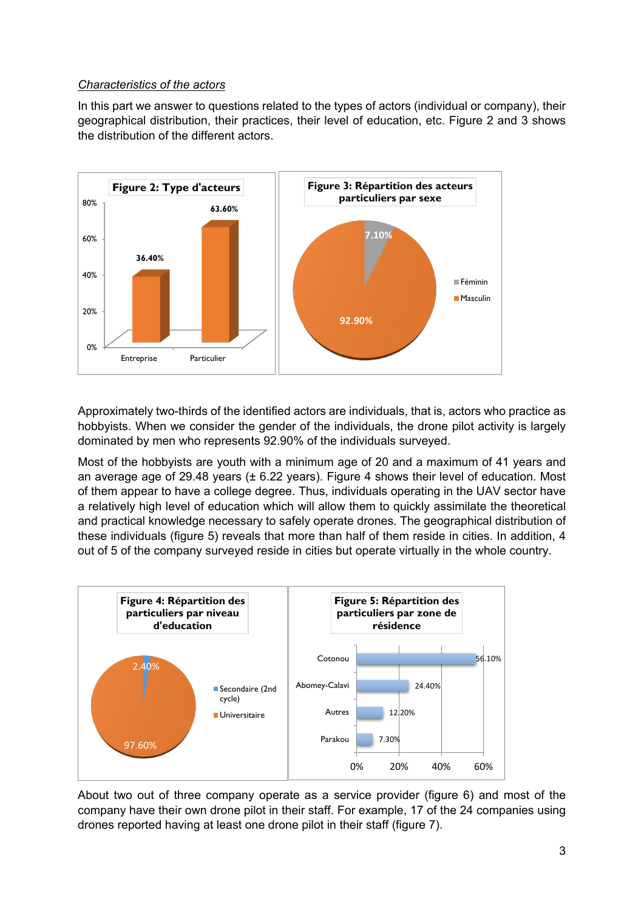#### *Characteristics of the actors*

In this part we answer to questions related to the types of actors (individual or company), their geographical distribution, their practices, their level of education, etc. Figure 2 and 3 shows the distribution of the different actors.



Approximately two-thirds of the identified actors are individuals, that is, actors who practice as hobbyists. When we consider the gender of the individuals, the drone pilot activity is largely dominated by men who represents 92.90% of the individuals surveyed.

Most of the hobbyists are youth with a minimum age of 20 and a maximum of 41 years and an average age of 29.48 years (± 6.22 years). Figure 4 shows their level of education. Most of them appear to have a college degree. Thus, individuals operating in the UAV sector have a relatively high level of education which will allow them to quickly assimilate the theoretical and practical knowledge necessary to safely operate drones. The geographical distribution of these individuals (figure 5) reveals that more than half of them reside in cities. In addition, 4 out of 5 of the company surveyed reside in cities but operate virtually in the whole country.



About two out of three company operate as a service provider (figure 6) and most of the company have their own drone pilot in their staff. For example, 17 of the 24 companies using drones reported having at least one drone pilot in their staff (figure 7).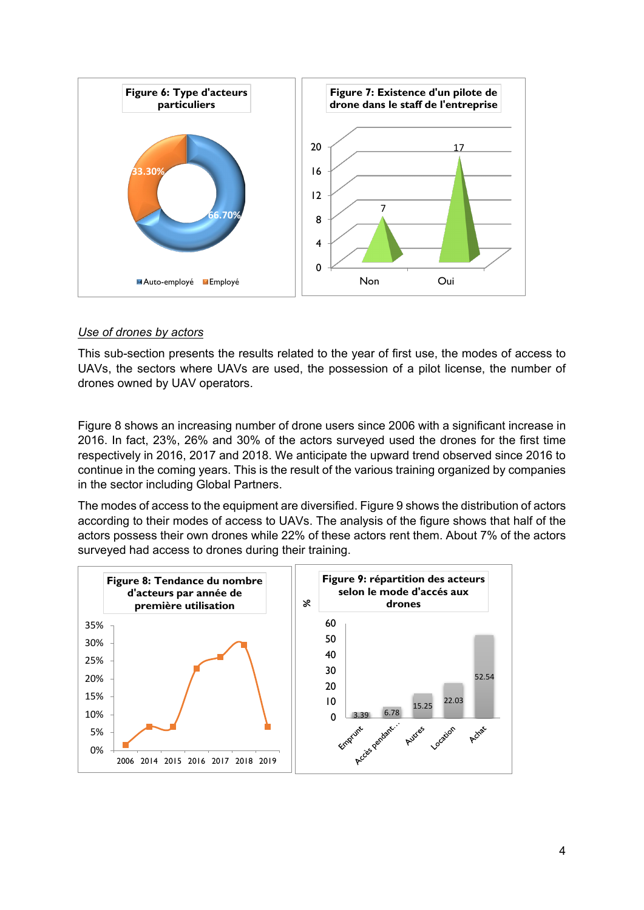

#### *Use of drones by actors*

This sub-section presents the results related to the year of first use, the modes of access to UAVs, the sectors where UAVs are used, the possession of a pilot license, the number of drones owned by UAV operators.

Figure 8 shows an increasing number of drone users since 2006 with a significant increase in 2016. In fact, 23%, 26% and 30% of the actors surveyed used the drones for the first time respectively in 2016, 2017 and 2018. We anticipate the upward trend observed since 2016 to continue in the coming years. This is the result of the various training organized by companies in the sector including Global Partners.

The modes of access to the equipment are diversified. Figure 9 shows the distribution of actors according to their modes of access to UAVs. The analysis of the figure shows that half of the actors possess their own drones while 22% of these actors rent them. About 7% of the actors surveyed had access to drones during their training.

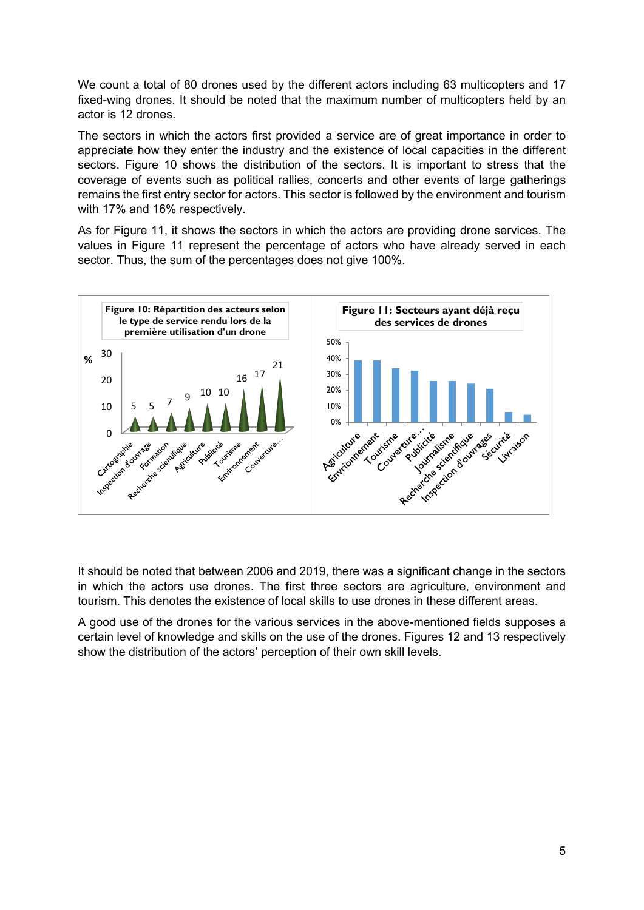We count a total of 80 drones used by the different actors including 63 multicopters and 17 fixed-wing drones. It should be noted that the maximum number of multicopters held by an actor is 12 drones.

The sectors in which the actors first provided a service are of great importance in order to appreciate how they enter the industry and the existence of local capacities in the different sectors. Figure 10 shows the distribution of the sectors. It is important to stress that the coverage of events such as political rallies, concerts and other events of large gatherings remains the first entry sector for actors. This sector is followed by the environment and tourism with 17% and 16% respectively.

As for Figure 11, it shows the sectors in which the actors are providing drone services. The values in Figure 11 represent the percentage of actors who have already served in each sector. Thus, the sum of the percentages does not give 100%.



It should be noted that between 2006 and 2019, there was a significant change in the sectors in which the actors use drones. The first three sectors are agriculture, environment and tourism. This denotes the existence of local skills to use drones in these different areas.

A good use of the drones for the various services in the above-mentioned fields supposes a certain level of knowledge and skills on the use of the drones. Figures 12 and 13 respectively show the distribution of the actors' perception of their own skill levels.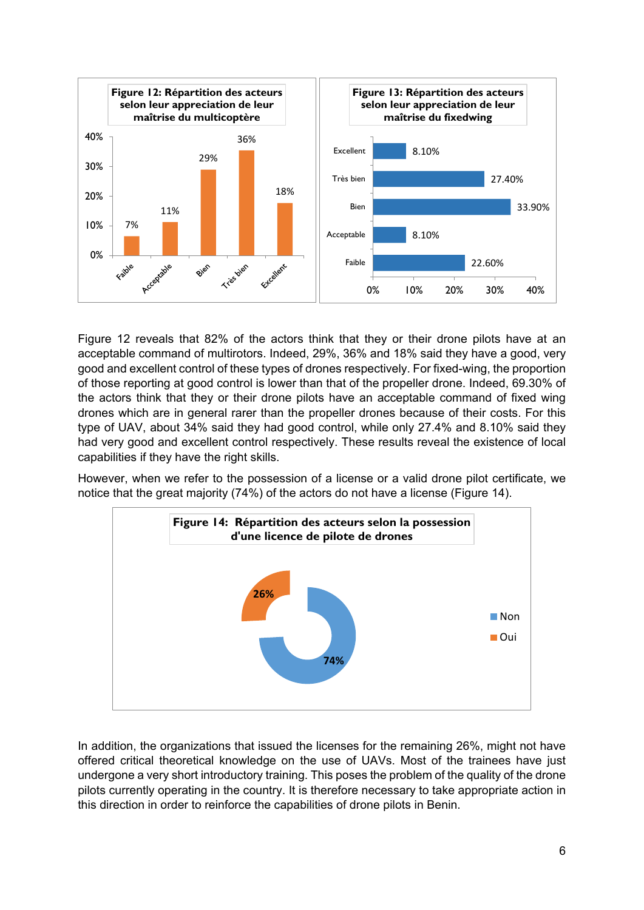

Figure 12 reveals that 82% of the actors think that they or their drone pilots have at an acceptable command of multirotors. Indeed, 29%, 36% and 18% said they have a good, very good and excellent control of these types of drones respectively. For fixed-wing, the proportion of those reporting at good control is lower than that of the propeller drone. Indeed, 69.30% of the actors think that they or their drone pilots have an acceptable command of fixed wing drones which are in general rarer than the propeller drones because of their costs. For this type of UAV, about 34% said they had good control, while only 27.4% and 8.10% said they had very good and excellent control respectively. These results reveal the existence of local capabilities if they have the right skills.

However, when we refer to the possession of a license or a valid drone pilot certificate, we notice that the great majority (74%) of the actors do not have a license (Figure 14).



In addition, the organizations that issued the licenses for the remaining 26%, might not have offered critical theoretical knowledge on the use of UAVs. Most of the trainees have just undergone a very short introductory training. This poses the problem of the quality of the drone pilots currently operating in the country. It is therefore necessary to take appropriate action in this direction in order to reinforce the capabilities of drone pilots in Benin.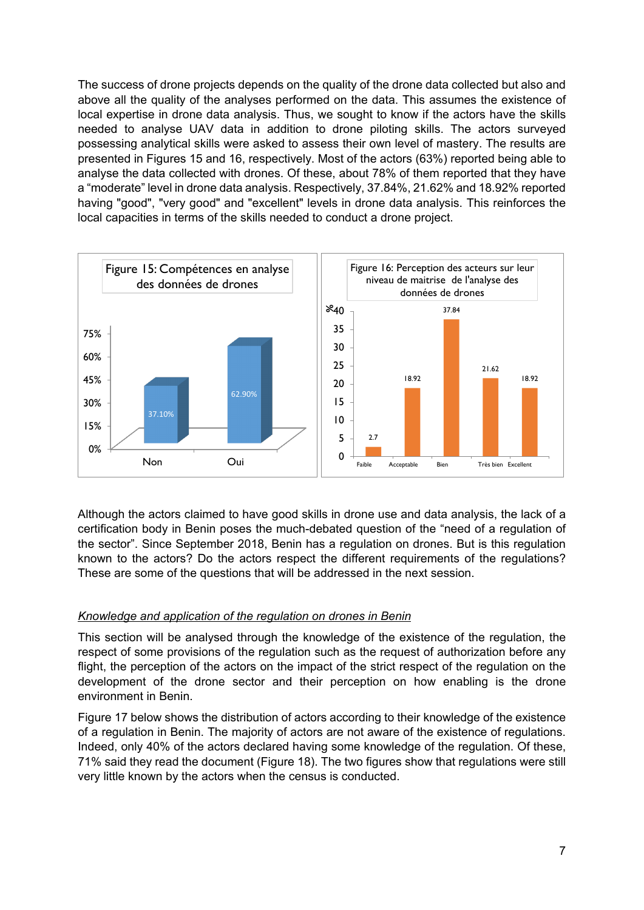The success of drone projects depends on the quality of the drone data collected but also and above all the quality of the analyses performed on the data. This assumes the existence of local expertise in drone data analysis. Thus, we sought to know if the actors have the skills needed to analyse UAV data in addition to drone piloting skills. The actors surveyed possessing analytical skills were asked to assess their own level of mastery. The results are presented in Figures 15 and 16, respectively. Most of the actors (63%) reported being able to analyse the data collected with drones. Of these, about 78% of them reported that they have a "moderate" level in drone data analysis. Respectively, 37.84%, 21.62% and 18.92% reported having "good", "very good" and "excellent" levels in drone data analysis. This reinforces the local capacities in terms of the skills needed to conduct a drone project.



Although the actors claimed to have good skills in drone use and data analysis, the lack of a certification body in Benin poses the much-debated question of the "need of a regulation of the sector". Since September 2018, Benin has a regulation on drones. But is this regulation known to the actors? Do the actors respect the different requirements of the regulations? These are some of the questions that will be addressed in the next session.

### *Knowledge and application of the regulation on drones in Benin*

This section will be analysed through the knowledge of the existence of the regulation, the respect of some provisions of the regulation such as the request of authorization before any flight, the perception of the actors on the impact of the strict respect of the regulation on the development of the drone sector and their perception on how enabling is the drone environment in Benin.

Figure 17 below shows the distribution of actors according to their knowledge of the existence of a regulation in Benin. The majority of actors are not aware of the existence of regulations. Indeed, only 40% of the actors declared having some knowledge of the regulation. Of these, 71% said they read the document (Figure 18). The two figures show that regulations were still very little known by the actors when the census is conducted.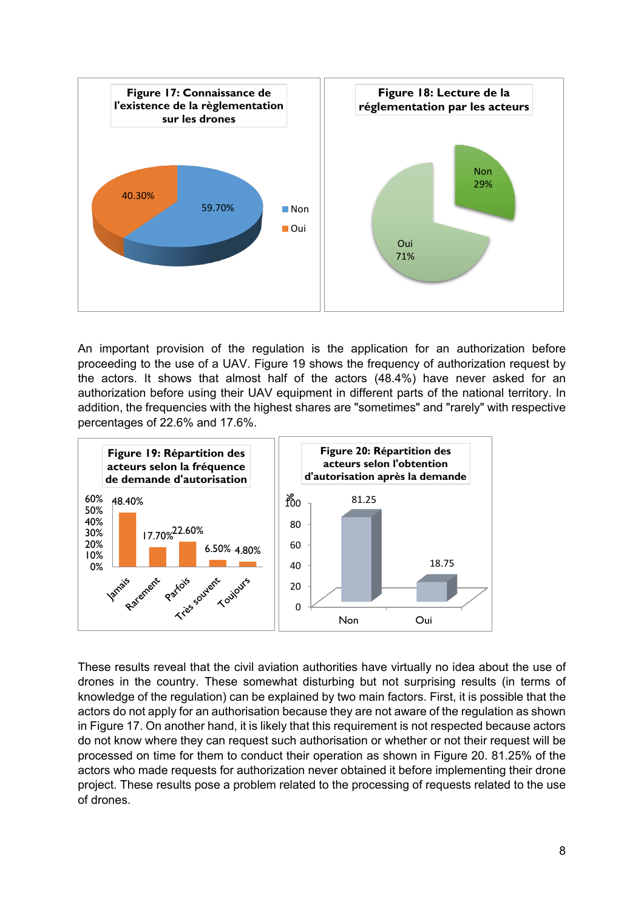

An important provision of the regulation is the application for an authorization before proceeding to the use of a UAV. Figure 19 shows the frequency of authorization request by the actors. It shows that almost half of the actors (48.4%) have never asked for an authorization before using their UAV equipment in different parts of the national territory. In addition, the frequencies with the highest shares are "sometimes" and "rarely" with respective percentages of 22.6% and 17.6%.



These results reveal that the civil aviation authorities have virtually no idea about the use of drones in the country. These somewhat disturbing but not surprising results (in terms of knowledge of the regulation) can be explained by two main factors. First, it is possible that the actors do not apply for an authorisation because they are not aware of the regulation as shown in Figure 17. On another hand, it is likely that this requirement is not respected because actors do not know where they can request such authorisation or whether or not their request will be processed on time for them to conduct their operation as shown in Figure 20. 81.25% of the actors who made requests for authorization never obtained it before implementing their drone project. These results pose a problem related to the processing of requests related to the use of drones.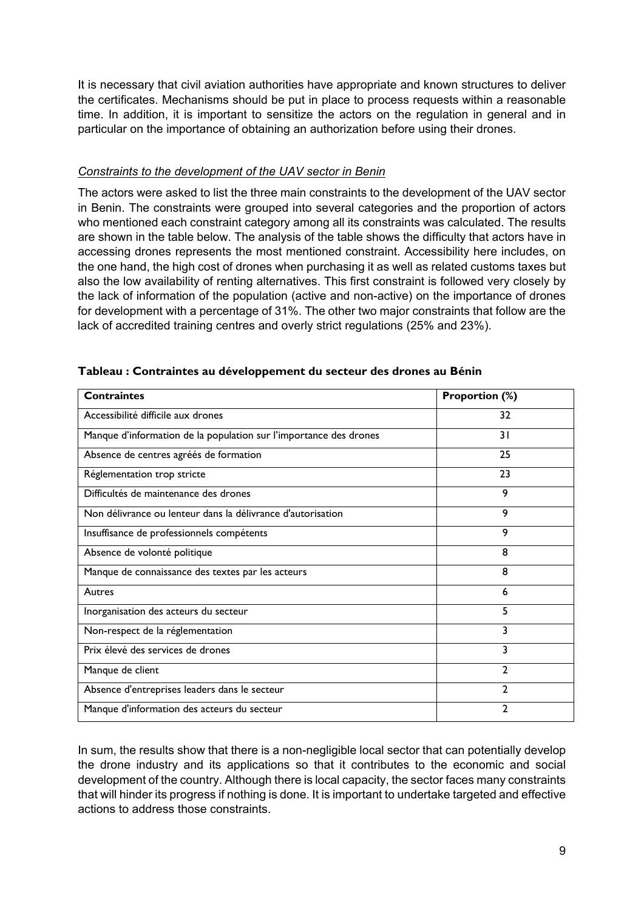It is necessary that civil aviation authorities have appropriate and known structures to deliver the certificates. Mechanisms should be put in place to process requests within a reasonable time. In addition, it is important to sensitize the actors on the regulation in general and in particular on the importance of obtaining an authorization before using their drones.

### *Constraints to the development of the UAV sector in Benin*

The actors were asked to list the three main constraints to the development of the UAV sector in Benin. The constraints were grouped into several categories and the proportion of actors who mentioned each constraint category among all its constraints was calculated. The results are shown in the table below. The analysis of the table shows the difficulty that actors have in accessing drones represents the most mentioned constraint. Accessibility here includes, on the one hand, the high cost of drones when purchasing it as well as related customs taxes but also the low availability of renting alternatives. This first constraint is followed very closely by the lack of information of the population (active and non-active) on the importance of drones for development with a percentage of 31%. The other two major constraints that follow are the lack of accredited training centres and overly strict regulations (25% and 23%).

| <b>Contraintes</b>                                                | <b>Proportion (%)</b> |  |
|-------------------------------------------------------------------|-----------------------|--|
| Accessibilité difficile aux drones                                | 32                    |  |
| Manque d'information de la population sur l'importance des drones | 31                    |  |
| Absence de centres agréés de formation                            | 25                    |  |
| Réglementation trop stricte                                       | 23                    |  |
| Difficultés de maintenance des drones                             | 9                     |  |
| Non délivrance ou lenteur dans la délivrance d'autorisation       | 9                     |  |
| Insuffisance de professionnels compétents                         | 9                     |  |
| Absence de volonté politique                                      | 8                     |  |
| Manque de connaissance des textes par les acteurs                 | 8                     |  |
| Autres                                                            | 6                     |  |
| Inorganisation des acteurs du secteur                             | 5                     |  |
| Non-respect de la réglementation                                  | 3                     |  |
| Prix élevé des services de drones                                 | 3                     |  |
| Manque de client                                                  | $\mathfrak{D}$        |  |
| Absence d'entreprises leaders dans le secteur                     | $\mathbf{2}$          |  |
| Manque d'information des acteurs du secteur                       | $\mathbf{2}$          |  |

#### **Tableau : Contraintes au développement du secteur des drones au Bénin**

In sum, the results show that there is a non-negligible local sector that can potentially develop the drone industry and its applications so that it contributes to the economic and social development of the country. Although there is local capacity, the sector faces many constraints that will hinder its progress if nothing is done. It is important to undertake targeted and effective actions to address those constraints.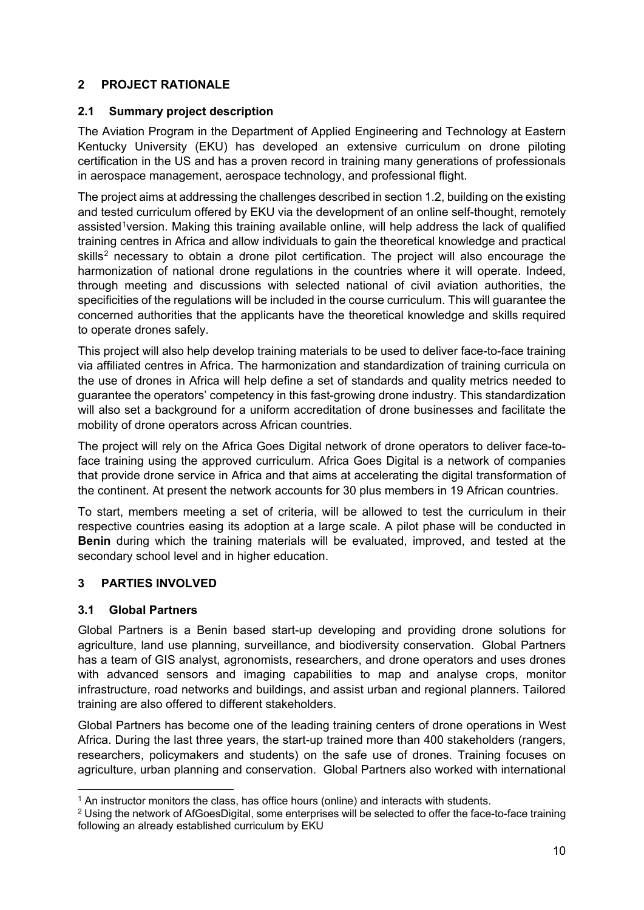### **2 PROJECT RATIONALE**

### **2.1 Summary project description**

The Aviation Program in the Department of Applied Engineering and Technology at Eastern Kentucky University (EKU) has developed an extensive curriculum on drone piloting certification in the US and has a proven record in training many generations of professionals in aerospace management, aerospace technology, and professional flight.

The project aims at addressing the challenges described in section [1.2,](#page-0-1) building on the existing and tested curriculum offered by EKU via the development of an online self-thought, remotely assisted<sup>1</sup> version. Making this training available online, will help address the lack of qualified training centres in Africa and allow individuals to gain the theoretical knowledge and practical skills<sup>[2](#page-9-1)</sup> necessary to obtain a drone pilot certification. The project will also encourage the harmonization of national drone regulations in the countries where it will operate. Indeed, through meeting and discussions with selected national of civil aviation authorities, the specificities of the regulations will be included in the course curriculum. This will guarantee the concerned authorities that the applicants have the theoretical knowledge and skills required to operate drones safely.

This project will also help develop training materials to be used to deliver face-to-face training via affiliated centres in Africa. The harmonization and standardization of training curricula on the use of drones in Africa will help define a set of standards and quality metrics needed to guarantee the operators' competency in this fast-growing drone industry. This standardization will also set a background for a uniform accreditation of drone businesses and facilitate the mobility of drone operators across African countries.

The project will rely on the Africa Goes Digital network of drone operators to deliver face-toface training using the approved curriculum. Africa Goes Digital is a network of companies that provide drone service in Africa and that aims at accelerating the digital transformation of the continent. At present the network accounts for 30 plus members in 19 African countries.

To start, members meeting a set of criteria, will be allowed to test the curriculum in their respective countries easing its adoption at a large scale. A pilot phase will be conducted in **Benin** during which the training materials will be evaluated, improved, and tested at the secondary school level and in higher education.

# **3 PARTIES INVOLVED**

### **3.1 Global Partners**

Global Partners is a Benin based start-up developing and providing drone solutions for agriculture, land use planning, surveillance, and biodiversity conservation. Global Partners has a team of GIS analyst, agronomists, researchers, and drone operators and uses drones with advanced sensors and imaging capabilities to map and analyse crops, monitor infrastructure, road networks and buildings, and assist urban and regional planners. Tailored training are also offered to different stakeholders.

Global Partners has become one of the leading training centers of drone operations in West Africa. During the last three years, the start-up trained more than 400 stakeholders (rangers, researchers, policymakers and students) on the safe use of drones. Training focuses on agriculture, urban planning and conservation. Global Partners also worked with international

<span id="page-9-0"></span> <sup>1</sup> An instructor monitors the class, has office hours (online) and interacts with students.

<span id="page-9-1"></span> $2$  Using the network of AfGoesDigital, some enterprises will be selected to offer the face-to-face training following an already established curriculum by EKU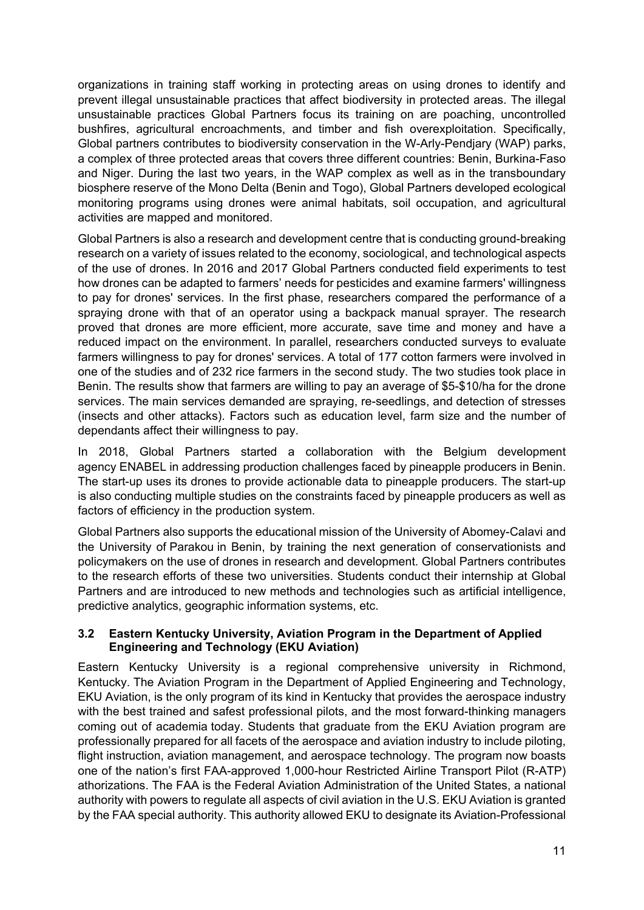organizations in training staff working in protecting areas on using drones to identify and prevent illegal unsustainable practices that affect biodiversity in protected areas. The illegal unsustainable practices Global Partners focus its training on are poaching, uncontrolled bushfires, agricultural encroachments, and timber and fish overexploitation. Specifically, Global partners contributes to biodiversity conservation in the W-Arly-Pendjary (WAP) parks, a complex of three protected areas that covers three different countries: Benin, Burkina-Faso and Niger. During the last two years, in the WAP complex as well as in the transboundary biosphere reserve of the Mono Delta (Benin and Togo), Global Partners developed ecological monitoring programs using drones were animal habitats, soil occupation, and agricultural activities are mapped and monitored.

Global Partners is also a research and development centre that is conducting ground-breaking research on a variety of issues related to the economy, sociological, and technological aspects of the use of drones. In 2016 and 2017 Global Partners conducted field experiments to test how drones can be adapted to farmers' needs for pesticides and examine farmers' willingness to pay for drones' services. In the first phase, researchers compared the performance of a spraying drone with that of an operator using a backpack manual sprayer. The research proved that drones are more efficient, more accurate, save time and money and have a reduced impact on the environment. In parallel, researchers conducted surveys to evaluate farmers willingness to pay for drones' services. A total of 177 cotton farmers were involved in one of the studies and of 232 rice farmers in the second study. The two studies took place in Benin. The results show that farmers are willing to pay an average of \$5-\$10/ha for the drone services. The main services demanded are spraying, re-seedlings, and detection of stresses (insects and other attacks). Factors such as education level, farm size and the number of dependants affect their willingness to pay.

In 2018, Global Partners started a collaboration with the Belgium development agency ENABEL in addressing production challenges faced by pineapple producers in Benin. The start-up uses its drones to provide actionable data to pineapple producers. The start-up is also conducting multiple studies on the constraints faced by pineapple producers as well as factors of efficiency in the production system.

Global Partners also supports the educational mission of the University of Abomey-Calavi and the University of Parakou in Benin, by training the next generation of conservationists and policymakers on the use of drones in research and development. Global Partners contributes to the research efforts of these two universities. Students conduct their internship at Global Partners and are introduced to new methods and technologies such as artificial intelligence, predictive analytics, geographic information systems, etc.

### **3.2 Eastern Kentucky University, Aviation Program in the Department of Applied Engineering and Technology (EKU Aviation)**

Eastern Kentucky University is a regional comprehensive university in Richmond, Kentucky. The Aviation Program in the Department of Applied Engineering and Technology, EKU Aviation, is the only program of its kind in Kentucky that provides the aerospace industry with the best trained and safest professional pilots, and the most forward-thinking managers coming out of academia today. Students that graduate from the EKU Aviation program are professionally prepared for all facets of the aerospace and aviation industry to include piloting, flight instruction, aviation management, and aerospace technology. The program now boasts one of the nation's first FAA-approved 1,000-hour Restricted Airline Transport Pilot (R-ATP) athorizations. The FAA is the Federal Aviation Administration of the United States, a national authority with powers to regulate all aspects of civil aviation in the U.S. EKU Aviation is granted by the FAA special authority. This authority allowed EKU to designate its Aviation-Professional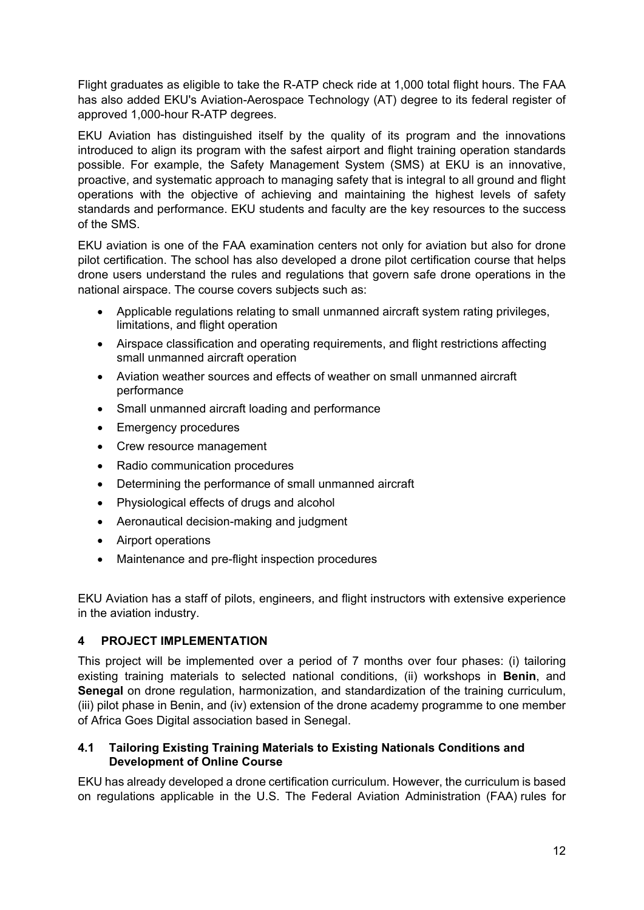Flight graduates as eligible to take the R-ATP check ride at 1,000 total flight hours. The FAA has also added EKU's Aviation-Aerospace Technology (AT) degree to its federal register of approved 1,000-hour R-ATP degrees.

EKU Aviation has distinguished itself by the quality of its program and the innovations introduced to align its program with the safest airport and flight training operation standards possible. For example, the Safety Management System (SMS) at EKU is an innovative, proactive, and systematic approach to managing safety that is integral to all ground and flight operations with the objective of achieving and maintaining the highest levels of safety standards and performance. EKU students and faculty are the key resources to the success of the SMS.

EKU aviation is one of the FAA examination centers not only for aviation but also for drone pilot certification. The school has also developed a drone pilot certification course that helps drone users understand the rules and regulations that govern safe drone operations in the national airspace. The course covers subjects such as:

- Applicable regulations relating to small unmanned aircraft system rating privileges, limitations, and flight operation
- Airspace classification and operating requirements, and flight restrictions affecting small unmanned aircraft operation
- Aviation weather sources and effects of weather on small unmanned aircraft performance
- Small unmanned aircraft loading and performance
- Emergency procedures
- Crew resource management
- Radio communication procedures
- Determining the performance of small unmanned aircraft
- Physiological effects of drugs and alcohol
- Aeronautical decision-making and judgment
- Airport operations
- Maintenance and pre-flight inspection procedures

EKU Aviation has a staff of pilots, engineers, and flight instructors with extensive experience in the aviation industry.

### **4 PROJECT IMPLEMENTATION**

This project will be implemented over a period of 7 months over four phases: (i) tailoring existing training materials to selected national conditions, (ii) workshops in **Benin**, and **Senegal** on drone regulation, harmonization, and standardization of the training curriculum, (iii) pilot phase in Benin, and (iv) extension of the drone academy programme to one member of Africa Goes Digital association based in Senegal.

### **4.1 Tailoring Existing Training Materials to Existing Nationals Conditions and Development of Online Course**

EKU has already developed a drone certification curriculum. However, the curriculum is based on regulations applicable in the U.S. The Federal Aviation Administration (FAA) rules for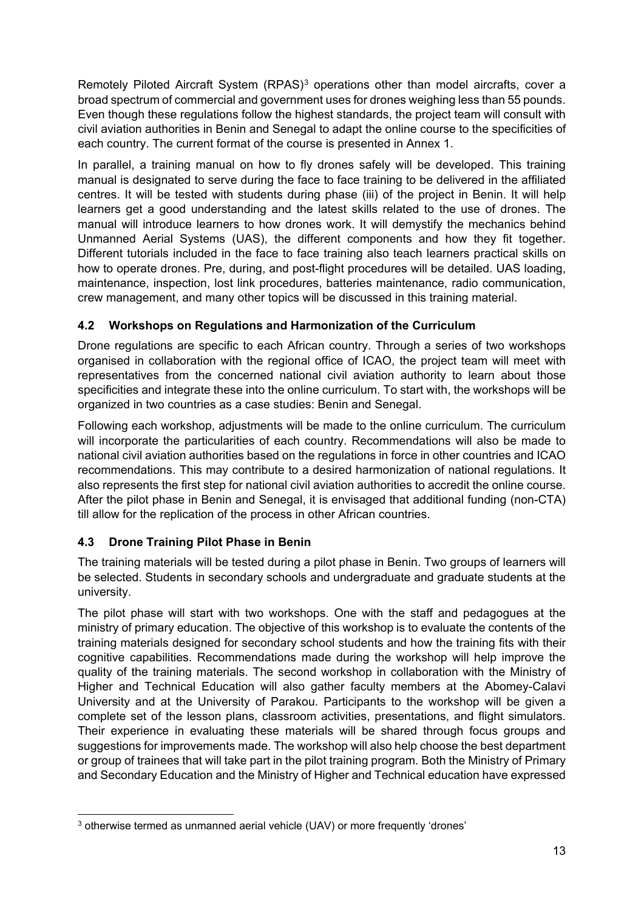Remotely Piloted Aircraft System (RPAS)<sup>[3](#page-12-0)</sup> operations other than model aircrafts, cover a broad spectrum of commercial and government uses for drones weighing less than 55 pounds. Even though these regulations follow the highest standards, the project team will consult with civil aviation authorities in Benin and Senegal to adapt the online course to the specificities of each country. The current format of the course is presented in [Annex 1.](#page-13-0)

In parallel, a training manual on how to fly drones safely will be developed. This training manual is designated to serve during the face to face training to be delivered in the affiliated centres. It will be tested with students during phase (iii) of the project in Benin. It will help learners get a good understanding and the latest skills related to the use of drones. The manual will introduce learners to how drones work. It will demystify the mechanics behind Unmanned Aerial Systems (UAS), the different components and how they fit together. Different tutorials included in the face to face training also teach learners practical skills on how to operate drones. Pre, during, and post-flight procedures will be detailed. UAS loading, maintenance, inspection, lost link procedures, batteries maintenance, radio communication, crew management, and many other topics will be discussed in this training material.

# **4.2 Workshops on Regulations and Harmonization of the Curriculum**

Drone regulations are specific to each African country. Through a series of two workshops organised in collaboration with the regional office of ICAO, the project team will meet with representatives from the concerned national civil aviation authority to learn about those specificities and integrate these into the online curriculum. To start with, the workshops will be organized in two countries as a case studies: Benin and Senegal.

Following each workshop, adjustments will be made to the online curriculum. The curriculum will incorporate the particularities of each country. Recommendations will also be made to national civil aviation authorities based on the regulations in force in other countries and ICAO recommendations. This may contribute to a desired harmonization of national regulations. It also represents the first step for national civil aviation authorities to accredit the online course. After the pilot phase in Benin and Senegal, it is envisaged that additional funding (non-CTA) till allow for the replication of the process in other African countries.

# **4.3 Drone Training Pilot Phase in Benin**

The training materials will be tested during a pilot phase in Benin. Two groups of learners will be selected. Students in secondary schools and undergraduate and graduate students at the university.

The pilot phase will start with two workshops. One with the staff and pedagogues at the ministry of primary education. The objective of this workshop is to evaluate the contents of the training materials designed for secondary school students and how the training fits with their cognitive capabilities. Recommendations made during the workshop will help improve the quality of the training materials. The second workshop in collaboration with the Ministry of Higher and Technical Education will also gather faculty members at the Abomey-Calavi University and at the University of Parakou. Participants to the workshop will be given a complete set of the lesson plans, classroom activities, presentations, and flight simulators. Their experience in evaluating these materials will be shared through focus groups and suggestions for improvements made. The workshop will also help choose the best department or group of trainees that will take part in the pilot training program. Both the Ministry of Primary and Secondary Education and the Ministry of Higher and Technical education have expressed

<span id="page-12-0"></span><sup>&</sup>lt;sup>3</sup> otherwise termed as unmanned aerial vehicle (UAV) or more frequently 'drones'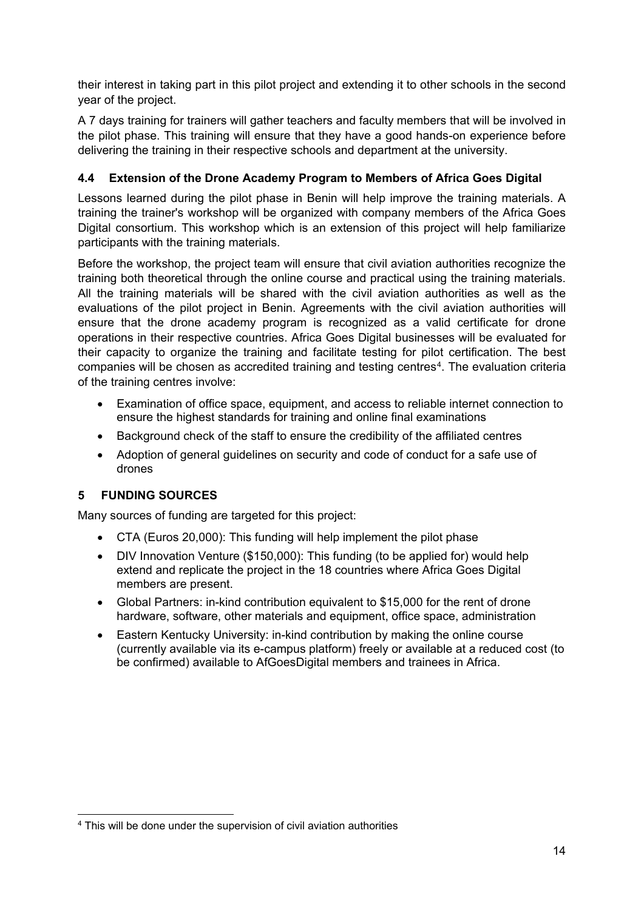their interest in taking part in this pilot project and extending it to other schools in the second year of the project.

A 7 days training for trainers will gather teachers and faculty members that will be involved in the pilot phase. This training will ensure that they have a good hands-on experience before delivering the training in their respective schools and department at the university.

## **4.4 Extension of the Drone Academy Program to Members of Africa Goes Digital**

Lessons learned during the pilot phase in Benin will help improve the training materials. A training the trainer's workshop will be organized with company members of the Africa Goes Digital consortium. This workshop which is an extension of this project will help familiarize participants with the training materials.

Before the workshop, the project team will ensure that civil aviation authorities recognize the training both theoretical through the online course and practical using the training materials. All the training materials will be shared with the civil aviation authorities as well as the evaluations of the pilot project in Benin. Agreements with the civil aviation authorities will ensure that the drone academy program is recognized as a valid certificate for drone operations in their respective countries. Africa Goes Digital businesses will be evaluated for their capacity to organize the training and facilitate testing for pilot certification. The best companies will be chosen as accredited training and testing centres<sup>[4](#page-13-1)</sup>. The evaluation criteria of the training centres involve:

- Examination of office space, equipment, and access to reliable internet connection to ensure the highest standards for training and online final examinations
- Background check of the staff to ensure the credibility of the affiliated centres
- Adoption of general guidelines on security and code of conduct for a safe use of drones

# **5 FUNDING SOURCES**

Many sources of funding are targeted for this project:

- CTA (Euros 20,000): This funding will help implement the pilot phase
- DIV Innovation Venture (\$150,000): This funding (to be applied for) would help extend and replicate the project in the 18 countries where Africa Goes Digital members are present.
- Global Partners: in-kind contribution equivalent to \$15,000 for the rent of drone hardware, software, other materials and equipment, office space, administration
- Eastern Kentucky University: in-kind contribution by making the online course (currently available via its e-campus platform) freely or available at a reduced cost (to be confirmed) available to AfGoesDigital members and trainees in Africa.

<span id="page-13-1"></span><span id="page-13-0"></span> <sup>4</sup> This will be done under the supervision of civil aviation authorities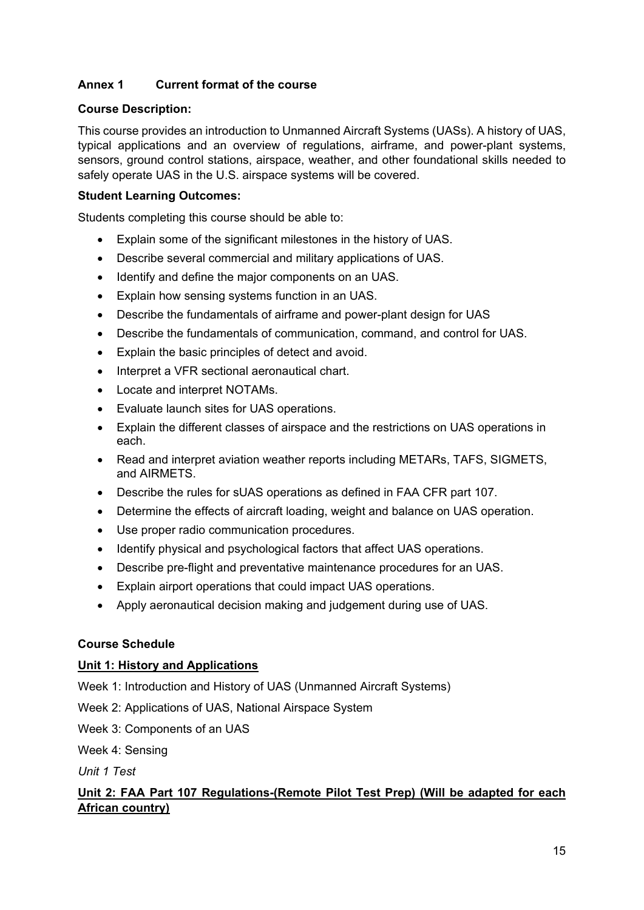## **Annex 1 Current format of the course**

### **Course Description:**

This course provides an introduction to Unmanned Aircraft Systems (UASs). A history of UAS, typical applications and an overview of regulations, airframe, and power-plant systems, sensors, ground control stations, airspace, weather, and other foundational skills needed to safely operate UAS in the U.S. airspace systems will be covered.

### **Student Learning Outcomes:**

Students completing this course should be able to:

- Explain some of the significant milestones in the history of UAS.
- Describe several commercial and military applications of UAS.
- Identify and define the major components on an UAS.
- Explain how sensing systems function in an UAS.
- Describe the fundamentals of airframe and power-plant design for UAS
- Describe the fundamentals of communication, command, and control for UAS.
- Explain the basic principles of detect and avoid.
- Interpret a VFR sectional aeronautical chart.
- Locate and interpret NOTAMs.
- Evaluate launch sites for UAS operations.
- Explain the different classes of airspace and the restrictions on UAS operations in each.
- Read and interpret aviation weather reports including METARs, TAFS, SIGMETS, and AIRMETS.
- Describe the rules for sUAS operations as defined in FAA CFR part 107.
- Determine the effects of aircraft loading, weight and balance on UAS operation.
- Use proper radio communication procedures.
- Identify physical and psychological factors that affect UAS operations.
- Describe pre-flight and preventative maintenance procedures for an UAS.
- Explain airport operations that could impact UAS operations.
- Apply aeronautical decision making and judgement during use of UAS.

### **Course Schedule**

#### **Unit 1: History and Applications**

- Week 1: Introduction and History of UAS (Unmanned Aircraft Systems)
- Week 2: Applications of UAS, National Airspace System
- Week 3: Components of an UAS

Week 4: Sensing

*Unit 1 Test*

## **Unit 2: FAA Part 107 Regulations-(Remote Pilot Test Prep) (Will be adapted for each African country)**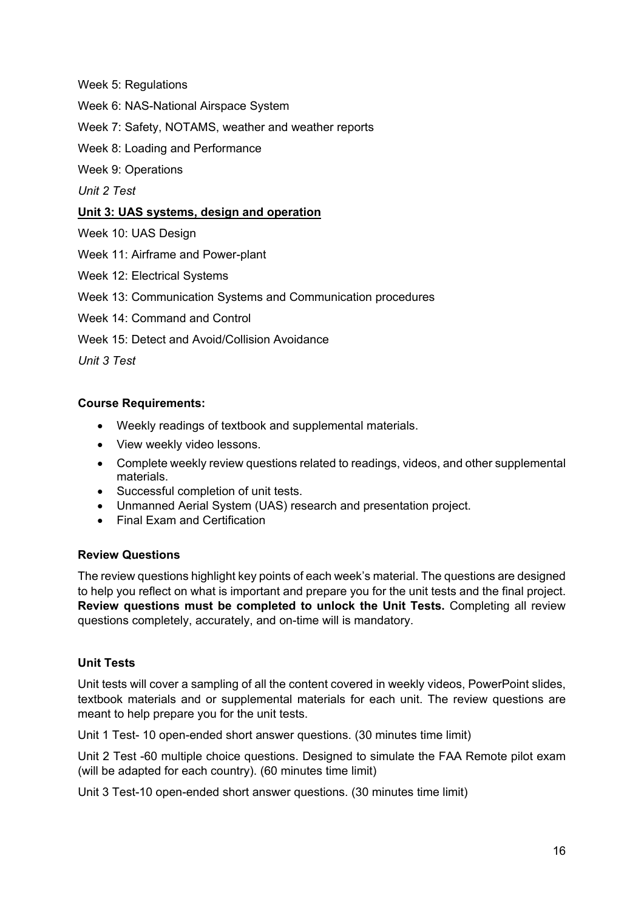Week 5: Regulations

- Week 6: NAS-National Airspace System
- Week 7: Safety, NOTAMS, weather and weather reports
- Week 8: Loading and Performance
- Week 9: Operations

*Unit 2 Test*

### **Unit 3: UAS systems, design and operation**

- Week 10: UAS Design
- Week 11: Airframe and Power-plant
- Week 12: Electrical Systems
- Week 13: Communication Systems and Communication procedures
- Week 14: Command and Control
- Week 15: Detect and Avoid/Collision Avoidance

*Unit 3 Test*

### **Course Requirements:**

- Weekly readings of textbook and supplemental materials.
- View weekly video lessons.
- Complete weekly review questions related to readings, videos, and other supplemental materials.
- Successful completion of unit tests.
- Unmanned Aerial System (UAS) research and presentation project.
- Final Exam and Certification

#### **Review Questions**

The review questions highlight key points of each week's material. The questions are designed to help you reflect on what is important and prepare you for the unit tests and the final project. **Review questions must be completed to unlock the Unit Tests.** Completing all review questions completely, accurately, and on-time will is mandatory.

### **Unit Tests**

Unit tests will cover a sampling of all the content covered in weekly videos, PowerPoint slides, textbook materials and or supplemental materials for each unit. The review questions are meant to help prepare you for the unit tests.

Unit 1 Test- 10 open-ended short answer questions. (30 minutes time limit)

Unit 2 Test -60 multiple choice questions. Designed to simulate the FAA Remote pilot exam (will be adapted for each country). (60 minutes time limit)

Unit 3 Test-10 open-ended short answer questions. (30 minutes time limit)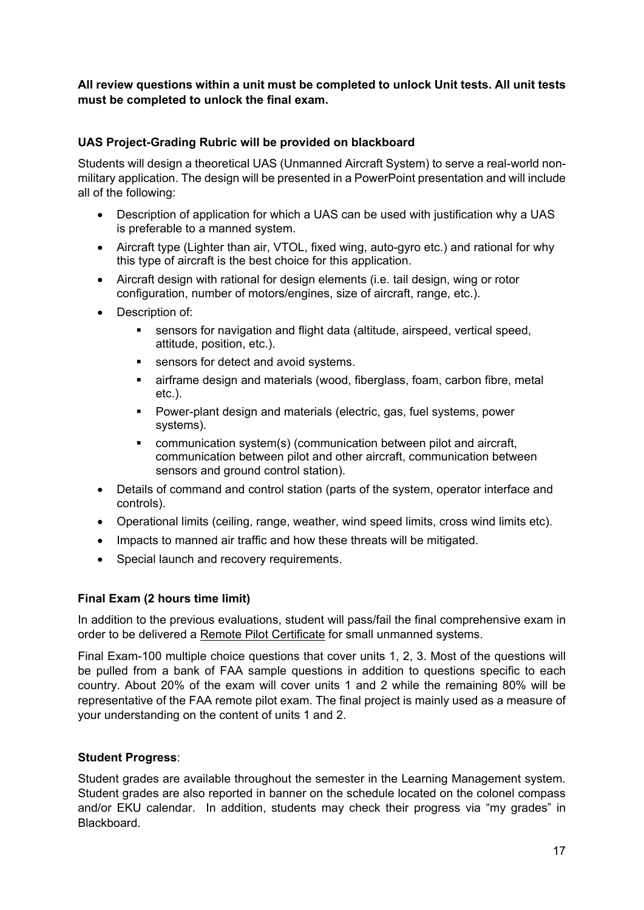### **All review questions within a unit must be completed to unlock Unit tests. All unit tests must be completed to unlock the final exam.**

### **UAS Project-Grading Rubric will be provided on blackboard**

Students will design a theoretical UAS (Unmanned Aircraft System) to serve a real-world nonmilitary application. The design will be presented in a PowerPoint presentation and will include all of the following:

- Description of application for which a UAS can be used with justification why a UAS is preferable to a manned system.
- Aircraft type (Lighter than air, VTOL, fixed wing, auto-gyro etc.) and rational for why this type of aircraft is the best choice for this application.
- Aircraft design with rational for design elements (i.e. tail design, wing or rotor configuration, number of motors/engines, size of aircraft, range, etc.).
- Description of:
	- sensors for navigation and flight data (altitude, airspeed, vertical speed, attitude, position, etc.).
	- sensors for detect and avoid systems.
	- airframe design and materials (wood, fiberglass, foam, carbon fibre, metal etc.).
	- Power-plant design and materials (electric, gas, fuel systems, power systems).
	- communication system(s) (communication between pilot and aircraft, communication between pilot and other aircraft, communication between sensors and ground control station).
- Details of command and control station (parts of the system, operator interface and controls).
- Operational limits (ceiling, range, weather, wind speed limits, cross wind limits etc).
- Impacts to manned air traffic and how these threats will be mitigated.
- Special launch and recovery requirements.

#### **Final Exam (2 hours time limit)**

In addition to the previous evaluations, student will pass/fail the final comprehensive exam in order to be delivered a Remote Pilot Certificate for small unmanned systems.

Final Exam-100 multiple choice questions that cover units 1, 2, 3. Most of the questions will be pulled from a bank of FAA sample questions in addition to questions specific to each country. About 20% of the exam will cover units 1 and 2 while the remaining 80% will be representative of the FAA remote pilot exam. The final project is mainly used as a measure of your understanding on the content of units 1 and 2.

#### **Student Progress**:

Student grades are available throughout the semester in the Learning Management system. Student grades are also reported in banner on the schedule located on the colonel compass and/or EKU calendar. In addition, students may check their progress via "my grades" in Blackboard.